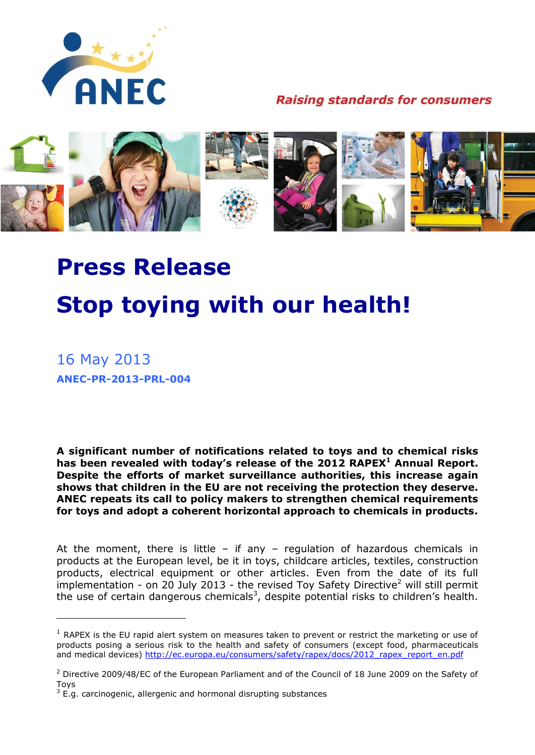

**Raising standards for consumers** 



## **Press Release Stop toying with our health!**

16 May 2013 **ANEC-PR-2013-PRL-004**

1

**A significant number of notifications related to toys and to chemical risks has been revealed with today's release of the 2012 RAPEX<sup>1</sup> Annual Report. Despite the efforts of market surveillance authorities, this increase again shows that children in the EU are not receiving the protection they deserve. ANEC repeats its call to policy makers to strengthen chemical requirements for toys and adopt a coherent horizontal approach to chemicals in products.**

At the moment, there is little – if any – regulation of hazardous chemicals in products at the European level, be it in toys, childcare articles, textiles, construction products, electrical equipment or other articles. Even from the date of its full implementation - on 20 July 2013 - the revised Toy Safety Directive<sup>2</sup> will still permit the use of certain dangerous chemicals<sup>3</sup>, despite potential risks to children's health.

 $1$  RAPEX is the EU rapid alert system on measures taken to prevent or restrict the marketing or use of products posing a serious risk to the health and safety of consumers (except food, pharmaceuticals and medical devices) [http://ec.europa.eu/consumers/safety/rapex/docs/2012\\_rapex\\_report\\_en.pdf](http://ec.europa.eu/consumers/safety/rapex/docs/2012_rapex_report_en.pdf)

<sup>&</sup>lt;sup>2</sup> Directive 2009/48/EC of the European Parliament and of the Council of 18 June 2009 on the Safety of Toys

 $3$  E.g. carcinogenic, allergenic and hormonal disrupting substances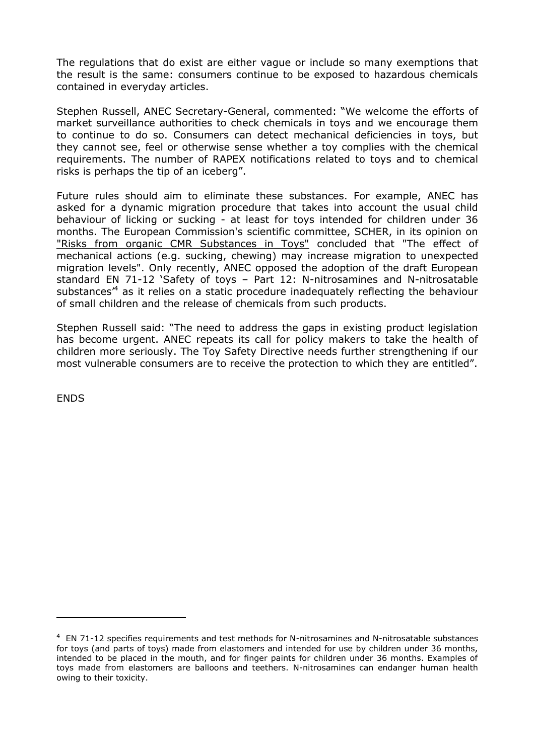The regulations that do exist are either vague or include so many exemptions that the result is the same: consumers continue to be exposed to hazardous chemicals contained in everyday articles.

Stephen Russell, ANEC Secretary-General, commented: "We welcome the efforts of market surveillance authorities to check chemicals in toys and we encourage them to continue to do so. Consumers can detect mechanical deficiencies in toys, but they cannot see, feel or otherwise sense whether a toy complies with the chemical requirements. The number of RAPEX notifications related to toys and to chemical risks is perhaps the tip of an iceberg".

Future rules should aim to eliminate these substances. For example, ANEC has asked for a dynamic migration procedure that takes into account the usual child behaviour of licking or sucking - at least for toys intended for children under 36 months. The European Commission's scientific committee, SCHER, in its opinion on ["Risks from organic CMR Substances in Toys"](http://ec.europa.eu/health/scientific_committees/environmental_risks/docs/scher_o_121.pdf) concluded that "The effect of mechanical actions (e.g. sucking, chewing) may increase migration to unexpected migration levels". Only recently, ANEC opposed the adoption of the draft European standard EN 71-12 'Safety of toys – Part 12: N-nitrosamines and N-nitrosatable substances<sup>,4</sup> as it relies on a static procedure inadequately reflecting the behaviour of small children and the release of chemicals from such products.

Stephen Russell said: "The need to address the gaps in existing product legislation has become urgent. ANEC repeats its call for policy makers to take the health of children more seriously. The Toy Safety Directive needs further strengthening if our most vulnerable consumers are to receive the protection to which they are entitled".

**ENDS** 

<u>.</u>

 $4$  EN 71-12 specifies requirements and test methods for N-nitrosamines and N-nitrosatable substances for toys (and parts of toys) made from elastomers and intended for use by children under 36 months, intended to be placed in the mouth, and for finger paints for children under 36 months. Examples of toys made from elastomers are balloons and teethers. N-nitrosamines can endanger human health owing to their toxicity.